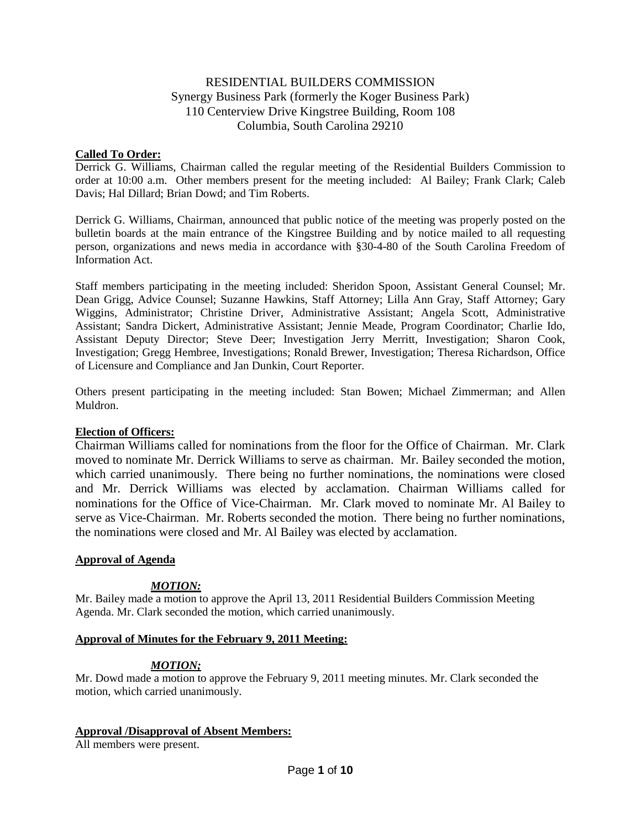# RESIDENTIAL BUILDERS COMMISSION Synergy Business Park (formerly the Koger Business Park) 110 Centerview Drive Kingstree Building, Room 108 Columbia, South Carolina 29210

#### **Called To Order:**

Derrick G. Williams, Chairman called the regular meeting of the Residential Builders Commission to order at 10:00 a.m. Other members present for the meeting included: Al Bailey; Frank Clark; Caleb Davis; Hal Dillard; Brian Dowd; and Tim Roberts.

Derrick G. Williams, Chairman, announced that public notice of the meeting was properly posted on the bulletin boards at the main entrance of the Kingstree Building and by notice mailed to all requesting person, organizations and news media in accordance with §30-4-80 of the South Carolina Freedom of Information Act.

Staff members participating in the meeting included: Sheridon Spoon, Assistant General Counsel; Mr. Dean Grigg, Advice Counsel; Suzanne Hawkins, Staff Attorney; Lilla Ann Gray, Staff Attorney; Gary Wiggins, Administrator; Christine Driver, Administrative Assistant; Angela Scott, Administrative Assistant; Sandra Dickert, Administrative Assistant; Jennie Meade, Program Coordinator; Charlie Ido, Assistant Deputy Director; Steve Deer; Investigation Jerry Merritt, Investigation; Sharon Cook, Investigation; Gregg Hembree, Investigations; Ronald Brewer, Investigation; Theresa Richardson, Office of Licensure and Compliance and Jan Dunkin, Court Reporter.

Others present participating in the meeting included: Stan Bowen; Michael Zimmerman; and Allen Muldron.

#### **Election of Officers:**

Chairman Williams called for nominations from the floor for the Office of Chairman. Mr. Clark moved to nominate Mr. Derrick Williams to serve as chairman. Mr. Bailey seconded the motion, which carried unanimously. There being no further nominations, the nominations were closed and Mr. Derrick Williams was elected by acclamation. Chairman Williams called for nominations for the Office of Vice-Chairman. Mr. Clark moved to nominate Mr. Al Bailey to serve as Vice-Chairman. Mr. Roberts seconded the motion. There being no further nominations, the nominations were closed and Mr. Al Bailey was elected by acclamation.

#### **Approval of Agenda**

# *MOTION:*

Mr. Bailey made a motion to approve the April 13, 2011 Residential Builders Commission Meeting Agenda. Mr. Clark seconded the motion, which carried unanimously.

#### **Approval of Minutes for the February 9, 2011 Meeting:**

# *MOTION;*

Mr. Dowd made a motion to approve the February 9, 2011 meeting minutes. Mr. Clark seconded the motion, which carried unanimously.

#### **Approval /Disapproval of Absent Members:**

All members were present.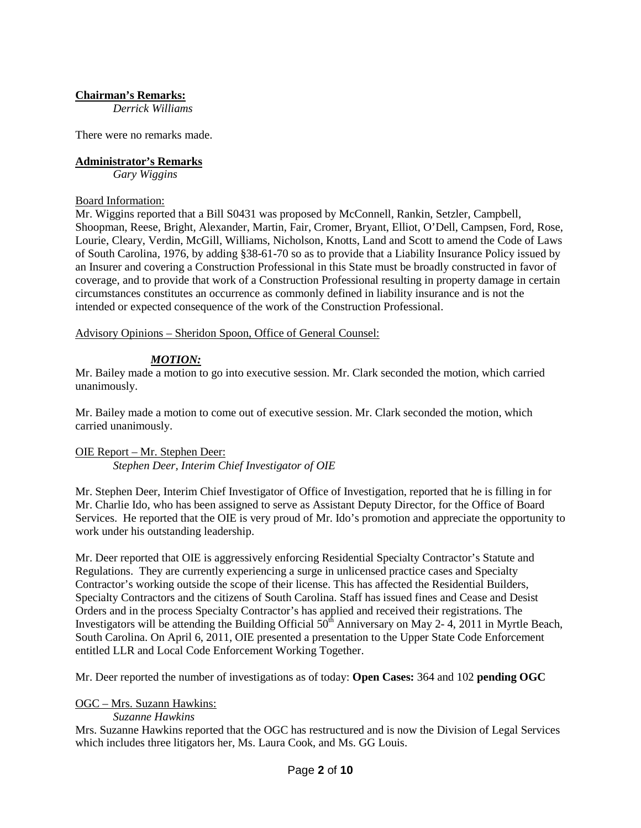# **Chairman's Remarks:**

*Derrick Williams*

There were no remarks made.

# **Administrator's Remarks**

*Gary Wiggins*

#### Board Information:

Mr. Wiggins reported that a Bill S0431 was proposed by McConnell, Rankin, Setzler, Campbell, Shoopman, Reese, Bright, Alexander, Martin, Fair, Cromer, Bryant, Elliot, O'Dell, Campsen, Ford, Rose, Lourie, Cleary, Verdin, McGill, Williams, Nicholson, Knotts, Land and Scott to amend the Code of Laws of South Carolina, 1976, by adding §38-61-70 so as to provide that a Liability Insurance Policy issued by an Insurer and covering a Construction Professional in this State must be broadly constructed in favor of coverage, and to provide that work of a Construction Professional resulting in property damage in certain circumstances constitutes an occurrence as commonly defined in liability insurance and is not the intended or expected consequence of the work of the Construction Professional.

Advisory Opinions – Sheridon Spoon, Office of General Counsel:

# *MOTION:*

Mr. Bailey made a motion to go into executive session. Mr. Clark seconded the motion, which carried unanimously.

Mr. Bailey made a motion to come out of executive session. Mr. Clark seconded the motion, which carried unanimously.

# OIE Report – Mr. Stephen Deer:

*Stephen Deer, Interim Chief Investigator of OIE*

Mr. Stephen Deer, Interim Chief Investigator of Office of Investigation, reported that he is filling in for Mr. Charlie Ido, who has been assigned to serve as Assistant Deputy Director, for the Office of Board Services. He reported that the OIE is very proud of Mr. Ido's promotion and appreciate the opportunity to work under his outstanding leadership.

Mr. Deer reported that OIE is aggressively enforcing Residential Specialty Contractor's Statute and Regulations. They are currently experiencing a surge in unlicensed practice cases and Specialty Contractor's working outside the scope of their license. This has affected the Residential Builders, Specialty Contractors and the citizens of South Carolina. Staff has issued fines and Cease and Desist Orders and in the process Specialty Contractor's has applied and received their registrations. The Investigators will be attending the Building Official  $50<sup>th</sup>$  Anniversary on May 2-4, 2011 in Myrtle Beach, South Carolina. On April 6, 2011, OIE presented a presentation to the Upper State Code Enforcement entitled LLR and Local Code Enforcement Working Together.

Mr. Deer reported the number of investigations as of today: **Open Cases:** 364 and 102 **pending OGC**

# OGC – Mrs. Suzann Hawkins:

#### *Suzanne Hawkins*

Mrs. Suzanne Hawkins reported that the OGC has restructured and is now the Division of Legal Services which includes three litigators her, Ms. Laura Cook, and Ms. GG Louis.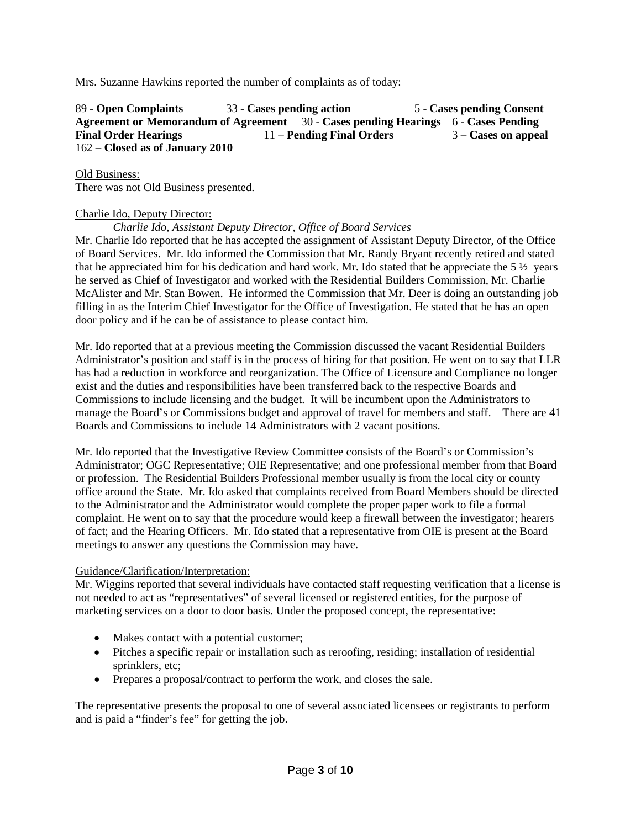Mrs. Suzanne Hawkins reported the number of complaints as of today:

89 - **Open Complaints** 33 - **Cases pending action** 5 - **Cases pending Consent Agreement or Memorandum of Agreement** 30 - **Cases pending Hearings** 6 - **Cases Pending Final Order Hearings** 11 – **Pending Final Orders** 3 **– Cases on appeal** 162 – **Closed as of January 2010**

Old Business:

There was not Old Business presented.

#### Charlie Ido, Deputy Director:

*Charlie Ido, Assistant Deputy Director, Office of Board Services*

Mr. Charlie Ido reported that he has accepted the assignment of Assistant Deputy Director, of the Office of Board Services. Mr. Ido informed the Commission that Mr. Randy Bryant recently retired and stated that he appreciated him for his dedication and hard work. Mr. Ido stated that he appreciate the  $5\frac{1}{2}$  years he served as Chief of Investigator and worked with the Residential Builders Commission, Mr. Charlie McAlister and Mr. Stan Bowen. He informed the Commission that Mr. Deer is doing an outstanding job filling in as the Interim Chief Investigator for the Office of Investigation. He stated that he has an open door policy and if he can be of assistance to please contact him.

Mr. Ido reported that at a previous meeting the Commission discussed the vacant Residential Builders Administrator's position and staff is in the process of hiring for that position. He went on to say that LLR has had a reduction in workforce and reorganization. The Office of Licensure and Compliance no longer exist and the duties and responsibilities have been transferred back to the respective Boards and Commissions to include licensing and the budget. It will be incumbent upon the Administrators to manage the Board's or Commissions budget and approval of travel for members and staff. There are 41 Boards and Commissions to include 14 Administrators with 2 vacant positions.

Mr. Ido reported that the Investigative Review Committee consists of the Board's or Commission's Administrator; OGC Representative; OIE Representative; and one professional member from that Board or profession. The Residential Builders Professional member usually is from the local city or county office around the State. Mr. Ido asked that complaints received from Board Members should be directed to the Administrator and the Administrator would complete the proper paper work to file a formal complaint. He went on to say that the procedure would keep a firewall between the investigator; hearers of fact; and the Hearing Officers. Mr. Ido stated that a representative from OIE is present at the Board meetings to answer any questions the Commission may have.

#### Guidance/Clarification/Interpretation:

Mr. Wiggins reported that several individuals have contacted staff requesting verification that a license is not needed to act as "representatives" of several licensed or registered entities, for the purpose of marketing services on a door to door basis. Under the proposed concept, the representative:

- Makes contact with a potential customer;
- Pitches a specific repair or installation such as reroofing, residing; installation of residential sprinklers, etc;
- Prepares a proposal/contract to perform the work, and closes the sale.

The representative presents the proposal to one of several associated licensees or registrants to perform and is paid a "finder's fee" for getting the job.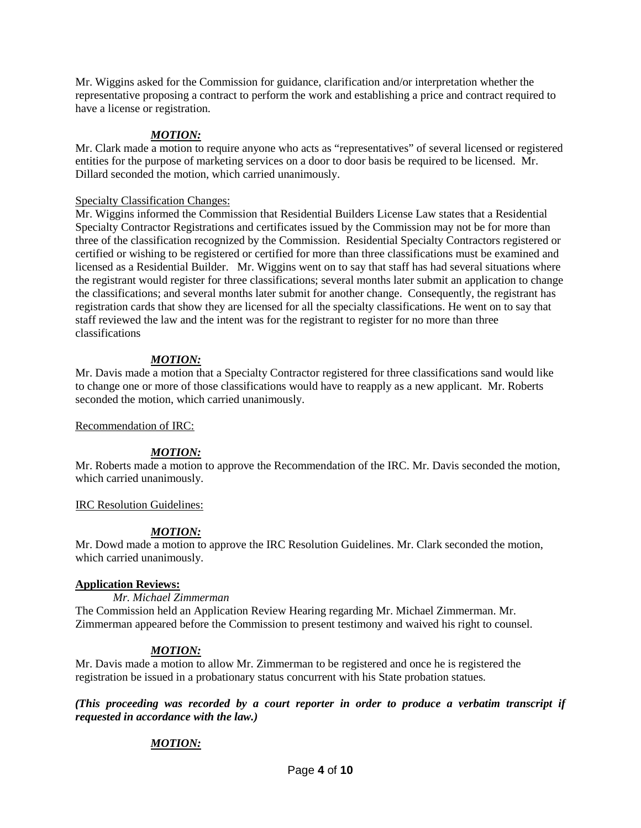Mr. Wiggins asked for the Commission for guidance, clarification and/or interpretation whether the representative proposing a contract to perform the work and establishing a price and contract required to have a license or registration.

# *MOTION:*

Mr. Clark made a motion to require anyone who acts as "representatives" of several licensed or registered entities for the purpose of marketing services on a door to door basis be required to be licensed. Mr. Dillard seconded the motion, which carried unanimously.

### Specialty Classification Changes:

Mr. Wiggins informed the Commission that Residential Builders License Law states that a Residential Specialty Contractor Registrations and certificates issued by the Commission may not be for more than three of the classification recognized by the Commission. Residential Specialty Contractors registered or certified or wishing to be registered or certified for more than three classifications must be examined and licensed as a Residential Builder. Mr. Wiggins went on to say that staff has had several situations where the registrant would register for three classifications; several months later submit an application to change the classifications; and several months later submit for another change. Consequently, the registrant has registration cards that show they are licensed for all the specialty classifications. He went on to say that staff reviewed the law and the intent was for the registrant to register for no more than three classifications

# *MOTION:*

Mr. Davis made a motion that a Specialty Contractor registered for three classifications sand would like to change one or more of those classifications would have to reapply as a new applicant. Mr. Roberts seconded the motion, which carried unanimously.

#### Recommendation of IRC:

# *MOTION:*

Mr. Roberts made a motion to approve the Recommendation of the IRC. Mr. Davis seconded the motion, which carried unanimously.

# IRC Resolution Guidelines:

# *MOTION:*

Mr. Dowd made a motion to approve the IRC Resolution Guidelines. Mr. Clark seconded the motion, which carried unanimously.

# **Application Reviews:**

*Mr. Michael Zimmerman*

The Commission held an Application Review Hearing regarding Mr. Michael Zimmerman. Mr. Zimmerman appeared before the Commission to present testimony and waived his right to counsel.

# *MOTION:*

Mr. Davis made a motion to allow Mr. Zimmerman to be registered and once he is registered the registration be issued in a probationary status concurrent with his State probation statues.

*(This proceeding was recorded by a court reporter in order to produce a verbatim transcript if requested in accordance with the law.)*

# *MOTION:*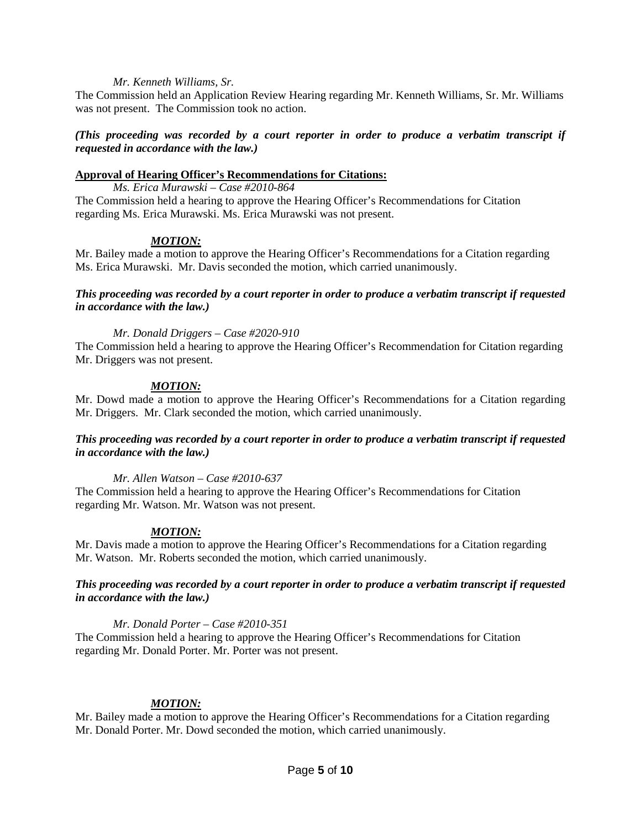#### *Mr. Kenneth Williams, Sr.*

The Commission held an Application Review Hearing regarding Mr. Kenneth Williams, Sr. Mr. Williams was not present. The Commission took no action.

### *(This proceeding was recorded by a court reporter in order to produce a verbatim transcript if requested in accordance with the law.)*

# **Approval of Hearing Officer's Recommendations for Citations:**

*Ms. Erica Murawski – Case #2010-864* The Commission held a hearing to approve the Hearing Officer's Recommendations for Citation regarding Ms. Erica Murawski. Ms. Erica Murawski was not present.

### *MOTION:*

Mr. Bailey made a motion to approve the Hearing Officer's Recommendations for a Citation regarding Ms. Erica Murawski. Mr. Davis seconded the motion, which carried unanimously.

### *This proceeding was recorded by a court reporter in order to produce a verbatim transcript if requested in accordance with the law.)*

### *Mr. Donald Driggers – Case #2020-910*

The Commission held a hearing to approve the Hearing Officer's Recommendation for Citation regarding Mr. Driggers was not present.

# *MOTION:*

Mr. Dowd made a motion to approve the Hearing Officer's Recommendations for a Citation regarding Mr. Driggers. Mr. Clark seconded the motion, which carried unanimously.

#### *This proceeding was recorded by a court reporter in order to produce a verbatim transcript if requested in accordance with the law.)*

#### *Mr. Allen Watson – Case #2010-637*

The Commission held a hearing to approve the Hearing Officer's Recommendations for Citation regarding Mr. Watson. Mr. Watson was not present.

# *MOTION:*

Mr. Davis made a motion to approve the Hearing Officer's Recommendations for a Citation regarding Mr. Watson. Mr. Roberts seconded the motion, which carried unanimously.

### *This proceeding was recorded by a court reporter in order to produce a verbatim transcript if requested in accordance with the law.)*

#### *Mr. Donald Porter – Case #2010-351*

The Commission held a hearing to approve the Hearing Officer's Recommendations for Citation regarding Mr. Donald Porter. Mr. Porter was not present.

# *MOTION:*

Mr. Bailey made a motion to approve the Hearing Officer's Recommendations for a Citation regarding Mr. Donald Porter. Mr. Dowd seconded the motion, which carried unanimously.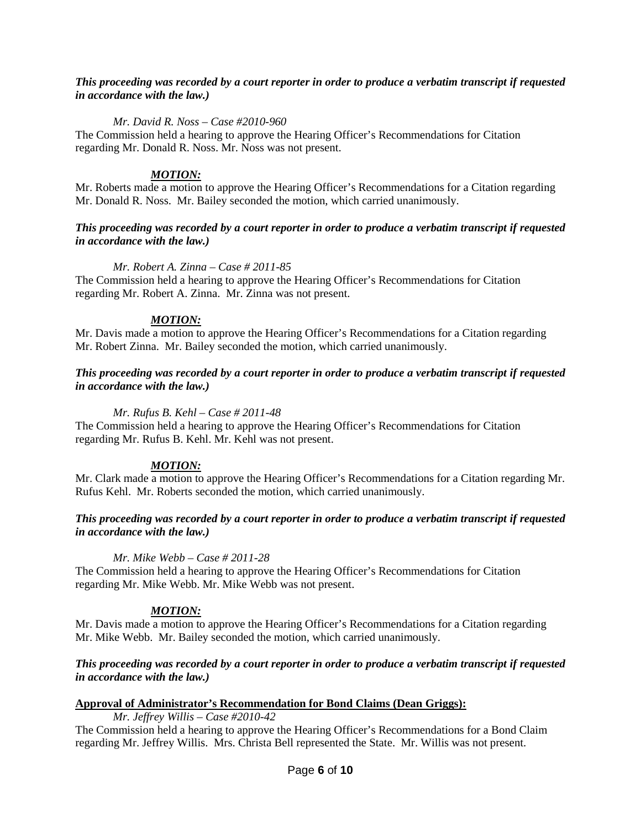### *This proceeding was recorded by a court reporter in order to produce a verbatim transcript if requested in accordance with the law.)*

#### *Mr. David R. Noss – Case #2010-960*

The Commission held a hearing to approve the Hearing Officer's Recommendations for Citation regarding Mr. Donald R. Noss. Mr. Noss was not present.

### *MOTION:*

Mr. Roberts made a motion to approve the Hearing Officer's Recommendations for a Citation regarding Mr. Donald R. Noss. Mr. Bailey seconded the motion, which carried unanimously.

### *This proceeding was recorded by a court reporter in order to produce a verbatim transcript if requested in accordance with the law.)*

#### *Mr. Robert A. Zinna – Case # 2011-85*

The Commission held a hearing to approve the Hearing Officer's Recommendations for Citation regarding Mr. Robert A. Zinna. Mr. Zinna was not present.

#### *MOTION:*

Mr. Davis made a motion to approve the Hearing Officer's Recommendations for a Citation regarding Mr. Robert Zinna. Mr. Bailey seconded the motion, which carried unanimously.

#### *This proceeding was recorded by a court reporter in order to produce a verbatim transcript if requested in accordance with the law.)*

#### *Mr. Rufus B. Kehl – Case # 2011-48*

The Commission held a hearing to approve the Hearing Officer's Recommendations for Citation regarding Mr. Rufus B. Kehl. Mr. Kehl was not present.

#### *MOTION:*

Mr. Clark made a motion to approve the Hearing Officer's Recommendations for a Citation regarding Mr. Rufus Kehl. Mr. Roberts seconded the motion, which carried unanimously.

### *This proceeding was recorded by a court reporter in order to produce a verbatim transcript if requested in accordance with the law.)*

#### *Mr. Mike Webb – Case # 2011-28*

The Commission held a hearing to approve the Hearing Officer's Recommendations for Citation regarding Mr. Mike Webb. Mr. Mike Webb was not present.

#### *MOTION:*

Mr. Davis made a motion to approve the Hearing Officer's Recommendations for a Citation regarding Mr. Mike Webb. Mr. Bailey seconded the motion, which carried unanimously.

#### *This proceeding was recorded by a court reporter in order to produce a verbatim transcript if requested in accordance with the law.)*

#### **Approval of Administrator's Recommendation for Bond Claims (Dean Griggs):**

*Mr. Jeffrey Willis – Case #2010-42*

The Commission held a hearing to approve the Hearing Officer's Recommendations for a Bond Claim regarding Mr. Jeffrey Willis. Mrs. Christa Bell represented the State. Mr. Willis was not present.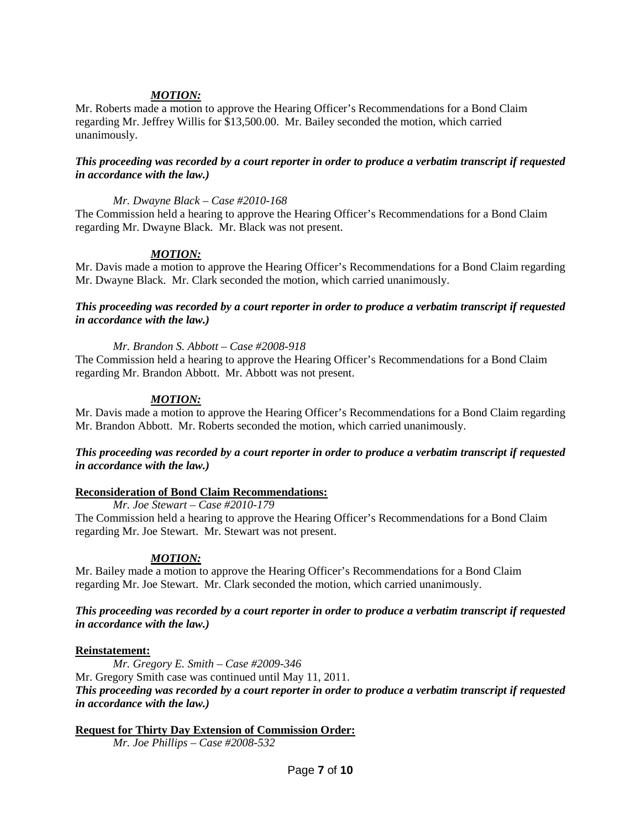# *MOTION:*

Mr. Roberts made a motion to approve the Hearing Officer's Recommendations for a Bond Claim regarding Mr. Jeffrey Willis for \$13,500.00. Mr. Bailey seconded the motion, which carried unanimously.

#### *This proceeding was recorded by a court reporter in order to produce a verbatim transcript if requested in accordance with the law.)*

#### *Mr. Dwayne Black – Case #2010-168*

The Commission held a hearing to approve the Hearing Officer's Recommendations for a Bond Claim regarding Mr. Dwayne Black. Mr. Black was not present.

#### *MOTION:*

Mr. Davis made a motion to approve the Hearing Officer's Recommendations for a Bond Claim regarding Mr. Dwayne Black. Mr. Clark seconded the motion, which carried unanimously.

#### *This proceeding was recorded by a court reporter in order to produce a verbatim transcript if requested in accordance with the law.)*

#### *Mr. Brandon S. Abbott – Case #2008-918*

The Commission held a hearing to approve the Hearing Officer's Recommendations for a Bond Claim regarding Mr. Brandon Abbott. Mr. Abbott was not present.

#### *MOTION:*

Mr. Davis made a motion to approve the Hearing Officer's Recommendations for a Bond Claim regarding Mr. Brandon Abbott. Mr. Roberts seconded the motion, which carried unanimously.

#### *This proceeding was recorded by a court reporter in order to produce a verbatim transcript if requested in accordance with the law.)*

#### **Reconsideration of Bond Claim Recommendations:**

#### *Mr. Joe Stewart – Case #2010-179*

The Commission held a hearing to approve the Hearing Officer's Recommendations for a Bond Claim regarding Mr. Joe Stewart. Mr. Stewart was not present.

#### *MOTION:*

Mr. Bailey made a motion to approve the Hearing Officer's Recommendations for a Bond Claim regarding Mr. Joe Stewart. Mr. Clark seconded the motion, which carried unanimously.

#### *This proceeding was recorded by a court reporter in order to produce a verbatim transcript if requested in accordance with the law.)*

#### **Reinstatement:**

*Mr. Gregory E. Smith – Case #2009-346* Mr. Gregory Smith case was continued until May 11, 2011. *This proceeding was recorded by a court reporter in order to produce a verbatim transcript if requested in accordance with the law.)*

### **Request for Thirty Day Extension of Commission Order:**

*Mr. Joe Phillips – Case #2008-532*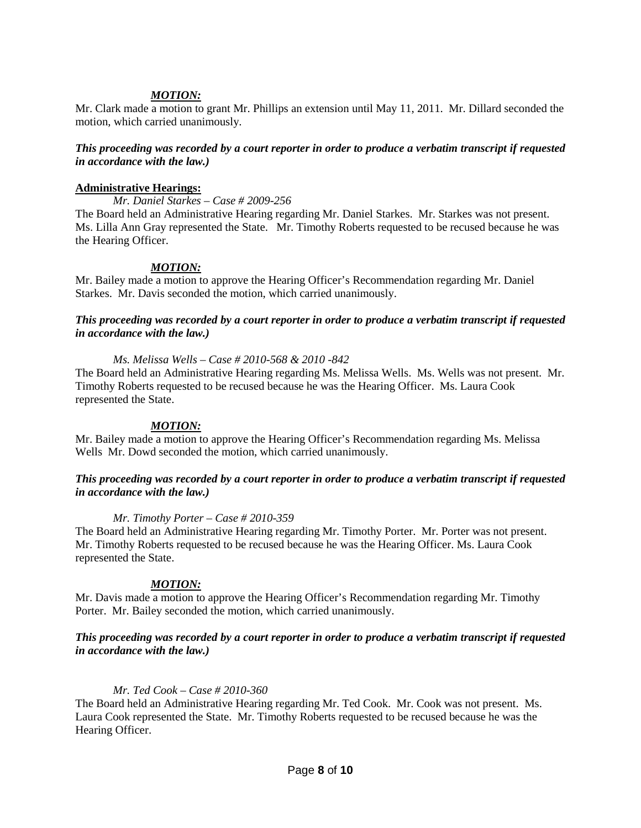# *MOTION:*

Mr. Clark made a motion to grant Mr. Phillips an extension until May 11, 2011. Mr. Dillard seconded the motion, which carried unanimously.

#### *This proceeding was recorded by a court reporter in order to produce a verbatim transcript if requested in accordance with the law.)*

#### **Administrative Hearings:**

*Mr. Daniel Starkes – Case # 2009-256*

The Board held an Administrative Hearing regarding Mr. Daniel Starkes. Mr. Starkes was not present. Ms. Lilla Ann Gray represented the State. Mr. Timothy Roberts requested to be recused because he was the Hearing Officer.

### *MOTION:*

Mr. Bailey made a motion to approve the Hearing Officer's Recommendation regarding Mr. Daniel Starkes. Mr. Davis seconded the motion, which carried unanimously.

### *This proceeding was recorded by a court reporter in order to produce a verbatim transcript if requested in accordance with the law.)*

#### *Ms. Melissa Wells – Case # 2010-568 & 2010 -842*

The Board held an Administrative Hearing regarding Ms. Melissa Wells. Ms. Wells was not present. Mr. Timothy Roberts requested to be recused because he was the Hearing Officer. Ms. Laura Cook represented the State.

#### *MOTION:*

Mr. Bailey made a motion to approve the Hearing Officer's Recommendation regarding Ms. Melissa Wells Mr. Dowd seconded the motion, which carried unanimously.

#### *This proceeding was recorded by a court reporter in order to produce a verbatim transcript if requested in accordance with the law.)*

#### *Mr. Timothy Porter – Case # 2010-359*

The Board held an Administrative Hearing regarding Mr. Timothy Porter. Mr. Porter was not present. Mr. Timothy Roberts requested to be recused because he was the Hearing Officer. Ms. Laura Cook represented the State.

#### *MOTION:*

Mr. Davis made a motion to approve the Hearing Officer's Recommendation regarding Mr. Timothy Porter. Mr. Bailey seconded the motion, which carried unanimously.

#### *This proceeding was recorded by a court reporter in order to produce a verbatim transcript if requested in accordance with the law.)*

#### *Mr. Ted Cook – Case # 2010-360*

The Board held an Administrative Hearing regarding Mr. Ted Cook. Mr. Cook was not present. Ms. Laura Cook represented the State. Mr. Timothy Roberts requested to be recused because he was the Hearing Officer.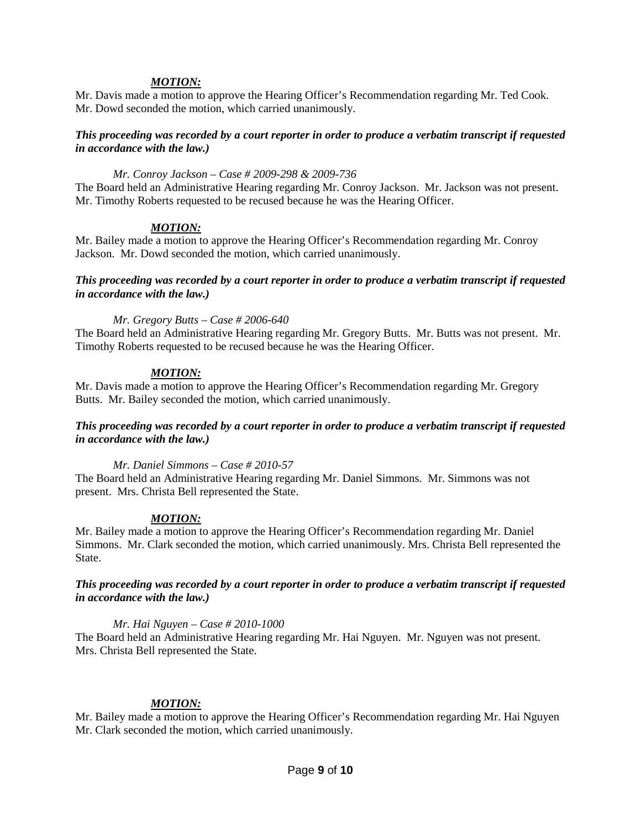### *MOTION:*

Mr. Davis made a motion to approve the Hearing Officer's Recommendation regarding Mr. Ted Cook. Mr. Dowd seconded the motion, which carried unanimously.

### *This proceeding was recorded by a court reporter in order to produce a verbatim transcript if requested in accordance with the law.)*

#### *Mr. Conroy Jackson – Case # 2009-298 & 2009-736*

The Board held an Administrative Hearing regarding Mr. Conroy Jackson. Mr. Jackson was not present. Mr. Timothy Roberts requested to be recused because he was the Hearing Officer.

#### *MOTION:*

Mr. Bailey made a motion to approve the Hearing Officer's Recommendation regarding Mr. Conroy Jackson. Mr. Dowd seconded the motion, which carried unanimously.

#### *This proceeding was recorded by a court reporter in order to produce a verbatim transcript if requested in accordance with the law.)*

#### *Mr. Gregory Butts – Case # 2006-640*

The Board held an Administrative Hearing regarding Mr. Gregory Butts. Mr. Butts was not present. Mr. Timothy Roberts requested to be recused because he was the Hearing Officer.

#### *MOTION:*

Mr. Davis made a motion to approve the Hearing Officer's Recommendation regarding Mr. Gregory Butts. Mr. Bailey seconded the motion, which carried unanimously.

### *This proceeding was recorded by a court reporter in order to produce a verbatim transcript if requested in accordance with the law.)*

*Mr. Daniel Simmons – Case # 2010-57*

The Board held an Administrative Hearing regarding Mr. Daniel Simmons. Mr. Simmons was not present. Mrs. Christa Bell represented the State.

#### *MOTION:*

Mr. Bailey made a motion to approve the Hearing Officer's Recommendation regarding Mr. Daniel Simmons. Mr. Clark seconded the motion, which carried unanimously. Mrs. Christa Bell represented the State.

*This proceeding was recorded by a court reporter in order to produce a verbatim transcript if requested in accordance with the law.)*

#### *Mr. Hai Nguyen – Case # 2010-1000*

The Board held an Administrative Hearing regarding Mr. Hai Nguyen. Mr. Nguyen was not present. Mrs. Christa Bell represented the State.

#### *MOTION:*

Mr. Bailey made a motion to approve the Hearing Officer's Recommendation regarding Mr. Hai Nguyen Mr. Clark seconded the motion, which carried unanimously.